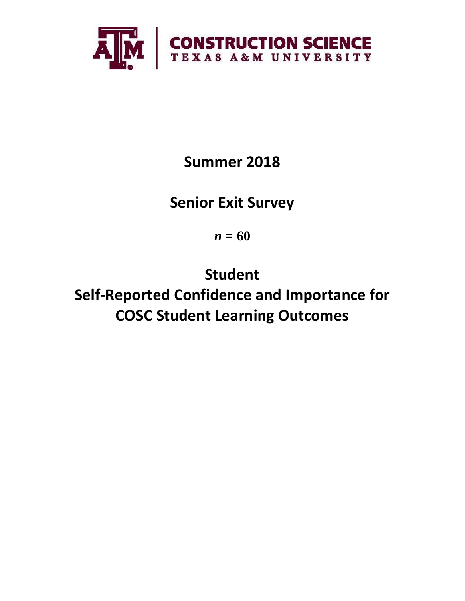

**Summer 2018**

**Senior Exit Survey**

*n* **= 60**

**Student Self-Reported Confidence and Importance for COSC Student Learning Outcomes**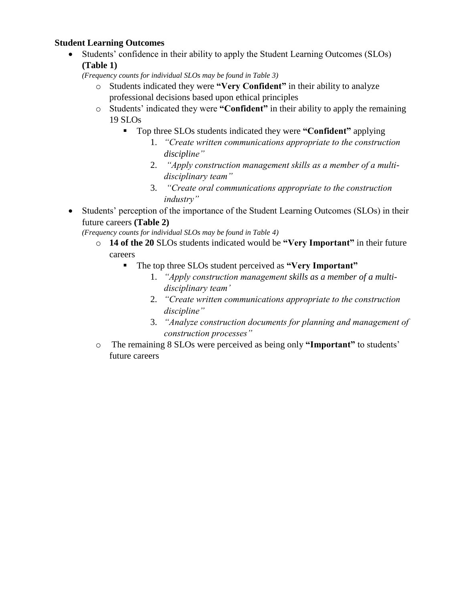## **Student Learning Outcomes**

• Students' confidence in their ability to apply the Student Learning Outcomes (SLOs) **(Table 1)**

*(Frequency counts for individual SLOs may be found in Table 3)*

- o Students indicated they were **"Very Confident"** in their ability to analyze professional decisions based upon ethical principles
- o Students' indicated they were **"Confident"** in their ability to apply the remaining 19 SLOs
	- Top three SLOs students indicated they were **"Confident"** applying
		- 1. *"Create written communications appropriate to the construction discipline"*
		- 2. *"Apply construction management skills as a member of a multidisciplinary team"*
		- 3. *"Create oral communications appropriate to the construction industry"*
- Students' perception of the importance of the Student Learning Outcomes (SLOs) in their future careers **(Table 2)**

*(Frequency counts for individual SLOs may be found in Table 4)*

- o **14 of the 20** SLOs students indicated would be **"Very Important"** in their future careers
	- The top three SLOs student perceived as **"Very Important"**
		- 1. *"Apply construction management skills as a member of a multidisciplinary team'*
		- 2. *"Create written communications appropriate to the construction discipline"*
		- 3. *"Analyze construction documents for planning and management of construction processes"*
- o The remaining 8 SLOs were perceived as being only **"Important"** to students' future careers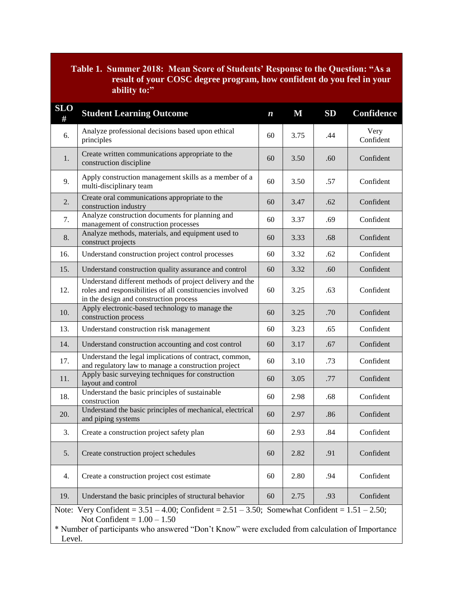# **Table 1. Summer 2018: Mean Score of Students' Response to the Question: "As a result of your COSC degree program, how confident do you feel in your ability to:"**

| <b>SLO</b><br>#                                                                                                                                                                                                                                       | <b>Student Learning Outcome</b>                                                                                                                                 | $\boldsymbol{n}$ | $\mathbf M$ | SD  | Confidence        |  |
|-------------------------------------------------------------------------------------------------------------------------------------------------------------------------------------------------------------------------------------------------------|-----------------------------------------------------------------------------------------------------------------------------------------------------------------|------------------|-------------|-----|-------------------|--|
| 6.                                                                                                                                                                                                                                                    | Analyze professional decisions based upon ethical<br>principles                                                                                                 | 60               | 3.75        | .44 | Very<br>Confident |  |
| 1.                                                                                                                                                                                                                                                    | Create written communications appropriate to the<br>construction discipline                                                                                     | 60               | 3.50        | .60 | Confident         |  |
| 9.                                                                                                                                                                                                                                                    | Apply construction management skills as a member of a<br>multi-disciplinary team                                                                                | 60               | 3.50        | .57 | Confident         |  |
| 2.                                                                                                                                                                                                                                                    | Create oral communications appropriate to the<br>construction industry                                                                                          |                  | 3.47        | .62 | Confident         |  |
| 7.                                                                                                                                                                                                                                                    | Analyze construction documents for planning and<br>management of construction processes                                                                         | 60               | 3.37        | .69 | Confident         |  |
| 8.                                                                                                                                                                                                                                                    | Analyze methods, materials, and equipment used to<br>construct projects                                                                                         | 60               | 3.33        | .68 | Confident         |  |
| 16.                                                                                                                                                                                                                                                   | Understand construction project control processes                                                                                                               | 60               | 3.32        | .62 | Confident         |  |
| 15.                                                                                                                                                                                                                                                   | Understand construction quality assurance and control                                                                                                           | 60               | 3.32        | .60 | Confident         |  |
| 12.                                                                                                                                                                                                                                                   | Understand different methods of project delivery and the<br>roles and responsibilities of all constituencies involved<br>in the design and construction process | 60               | 3.25        | .63 | Confident         |  |
| 10.                                                                                                                                                                                                                                                   | Apply electronic-based technology to manage the<br>construction process                                                                                         | 60               | 3.25        | .70 | Confident         |  |
| 13.                                                                                                                                                                                                                                                   | Understand construction risk management                                                                                                                         | 60               | 3.23        | .65 | Confident         |  |
| 14.                                                                                                                                                                                                                                                   | Understand construction accounting and cost control                                                                                                             | 60               | 3.17        | .67 | Confident         |  |
| 17.                                                                                                                                                                                                                                                   | Understand the legal implications of contract, common,<br>and regulatory law to manage a construction project                                                   | 60               | 3.10        | .73 | Confident         |  |
| 11.                                                                                                                                                                                                                                                   | Apply basic surveying techniques for construction<br>layout and control                                                                                         | 60               | 3.05        | .77 | Confident         |  |
| 18.                                                                                                                                                                                                                                                   | Understand the basic principles of sustainable<br>construction                                                                                                  | 60               | 2.98        | .68 | Confident         |  |
| 20.                                                                                                                                                                                                                                                   | Understand the basic principles of mechanical, electrical<br>and piping systems                                                                                 | 60               | 2.97        | .86 | Confident         |  |
| 3.                                                                                                                                                                                                                                                    | Create a construction project safety plan                                                                                                                       | 60               | 2.93        | .84 | Confident         |  |
| 5.                                                                                                                                                                                                                                                    | Create construction project schedules                                                                                                                           |                  | 2.82        | .91 | Confident         |  |
| 4.                                                                                                                                                                                                                                                    | Create a construction project cost estimate                                                                                                                     |                  | 2.80        | .94 | Confident         |  |
| 19.                                                                                                                                                                                                                                                   | Understand the basic principles of structural behavior                                                                                                          | 60               | 2.75        | .93 | Confident         |  |
| Note: Very Confident = $3.51 - 4.00$ ; Confident = $2.51 - 3.50$ ; Somewhat Confident = $1.51 - 2.50$ ;<br>Not Confident = $1.00 - 1.50$<br>* Number of participants who answered "Don't Know" were excluded from calculation of Importance<br>Level. |                                                                                                                                                                 |                  |             |     |                   |  |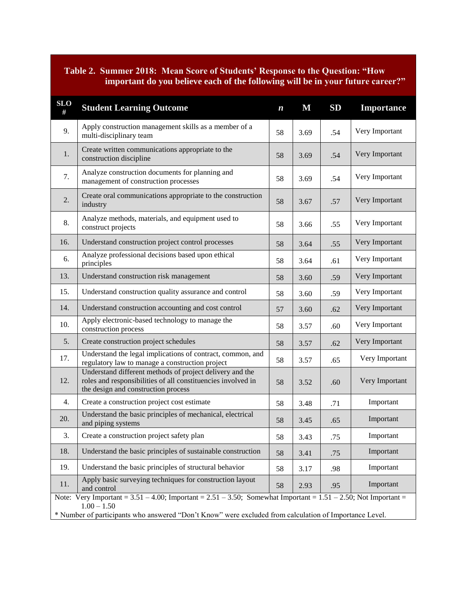## **Table 2. Summer 2018: Mean Score of Students' Response to the Question: "How important do you believe each of the following will be in your future career?"**

| <b>SLO</b><br>#                                                                                                                          | <b>Student Learning Outcome</b>                                                                                                                                 | $\boldsymbol{n}$ | M    | SD  | Importance     |  |  |
|------------------------------------------------------------------------------------------------------------------------------------------|-----------------------------------------------------------------------------------------------------------------------------------------------------------------|------------------|------|-----|----------------|--|--|
| 9.                                                                                                                                       | Apply construction management skills as a member of a<br>multi-disciplinary team                                                                                | 58               | 3.69 | .54 | Very Important |  |  |
| 1.                                                                                                                                       | Create written communications appropriate to the<br>construction discipline                                                                                     |                  | 3.69 | .54 | Very Important |  |  |
| 7.                                                                                                                                       | Analyze construction documents for planning and<br>management of construction processes                                                                         | 58               | 3.69 | .54 | Very Important |  |  |
| 2.                                                                                                                                       | Create oral communications appropriate to the construction<br>industry                                                                                          |                  | 3.67 | .57 | Very Important |  |  |
| 8.                                                                                                                                       | Analyze methods, materials, and equipment used to<br>construct projects                                                                                         | 58               | 3.66 | .55 | Very Important |  |  |
| 16.                                                                                                                                      | Understand construction project control processes                                                                                                               | 58               | 3.64 | .55 | Very Important |  |  |
| 6.                                                                                                                                       | Analyze professional decisions based upon ethical<br>principles                                                                                                 | 58               | 3.64 | .61 | Very Important |  |  |
| 13.                                                                                                                                      | Understand construction risk management                                                                                                                         | 58               | 3.60 | .59 | Very Important |  |  |
| 15.                                                                                                                                      | Understand construction quality assurance and control                                                                                                           | 58               | 3.60 | .59 | Very Important |  |  |
| 14.                                                                                                                                      | Understand construction accounting and cost control                                                                                                             |                  | 3.60 | .62 | Very Important |  |  |
| 10.                                                                                                                                      | Apply electronic-based technology to manage the<br>construction process                                                                                         |                  | 3.57 | .60 | Very Important |  |  |
| 5.                                                                                                                                       | Create construction project schedules                                                                                                                           |                  | 3.57 | .62 | Very Important |  |  |
| 17.                                                                                                                                      | Understand the legal implications of contract, common, and<br>regulatory law to manage a construction project                                                   |                  | 3.57 | .65 | Very Important |  |  |
| 12.                                                                                                                                      | Understand different methods of project delivery and the<br>roles and responsibilities of all constituencies involved in<br>the design and construction process |                  | 3.52 | .60 | Very Important |  |  |
| 4.                                                                                                                                       | Create a construction project cost estimate                                                                                                                     | 58               | 3.48 | .71 | Important      |  |  |
| 20.                                                                                                                                      | Understand the basic principles of mechanical, electrical<br>and piping systems                                                                                 | 58               | 3.45 | .65 | Important      |  |  |
| 3.                                                                                                                                       | Create a construction project safety plan                                                                                                                       | 58               | 3.43 | .75 | Important      |  |  |
| 18.                                                                                                                                      | Understand the basic principles of sustainable construction                                                                                                     | 58               | 3.41 | .75 | Important      |  |  |
| 19.                                                                                                                                      | Understand the basic principles of structural behavior                                                                                                          |                  | 3.17 | .98 | Important      |  |  |
| 11.                                                                                                                                      | Apply basic surveying techniques for construction layout<br>and control                                                                                         |                  | 2.93 | .95 | Important      |  |  |
| Note: Very Important = $3.51 - 4.00$ ; Important = $2.51 - 3.50$ ; Somewhat Important = $1.51 - 2.50$ ; Not Important =<br>$1.00 - 1.50$ |                                                                                                                                                                 |                  |      |     |                |  |  |
| * Number of participants who answered "Don't Know" were excluded from calculation of Importance Level.                                   |                                                                                                                                                                 |                  |      |     |                |  |  |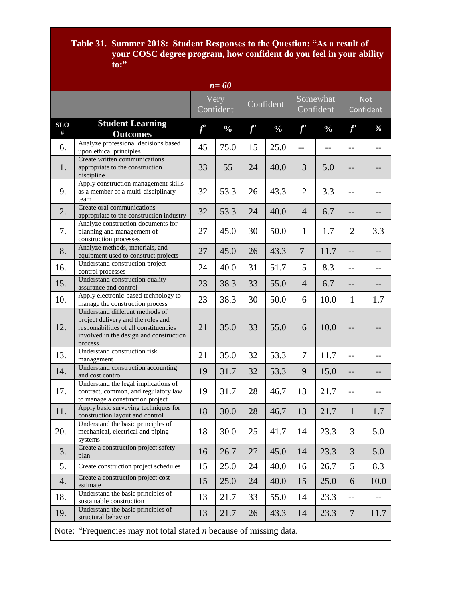#### **Table 31. Summer 2018: Student Responses to the Question: "As a result of your COSC degree program, how confident do you feel in your ability to:"**

| $n = 60$                                                                          |                                                                                                                                                                       |       |                   |           |               |                       |               |                         |      |
|-----------------------------------------------------------------------------------|-----------------------------------------------------------------------------------------------------------------------------------------------------------------------|-------|-------------------|-----------|---------------|-----------------------|---------------|-------------------------|------|
|                                                                                   |                                                                                                                                                                       |       | Very<br>Confident | Confident |               | Somewhat<br>Confident |               | <b>Not</b><br>Confident |      |
| <b>SLO</b><br>#                                                                   | <b>Student Learning</b><br><b>Outcomes</b>                                                                                                                            | $f^a$ | $\frac{0}{0}$     | $f^a$     | $\frac{0}{0}$ | $f^a$                 | $\frac{0}{0}$ | $f^a$                   | %    |
| 6.                                                                                | Analyze professional decisions based<br>upon ethical principles                                                                                                       | 45    | 75.0              | 15        | 25.0          | $\overline{a}$        | $-$           | $=$ $-$                 | $-$  |
| 1.                                                                                | Create written communications<br>appropriate to the construction<br>discipline                                                                                        | 33    | 55                | 24        | 40.0          | 3                     | 5.0           |                         |      |
| 9.                                                                                | Apply construction management skills<br>as a member of a multi-disciplinary<br>team                                                                                   | 32    | 53.3              | 26        | 43.3          | $\overline{2}$        | 3.3           |                         |      |
| 2.                                                                                | Create oral communications<br>appropriate to the construction industry                                                                                                | 32    | 53.3              | 24        | 40.0          | $\overline{4}$        | 6.7           | $-$                     |      |
| 7.                                                                                | Analyze construction documents for<br>planning and management of<br>construction processes                                                                            | 27    | 45.0              | 30        | 50.0          | $\mathbf{1}$          | 1.7           | $\overline{2}$          | 3.3  |
| 8.                                                                                | Analyze methods, materials, and<br>equipment used to construct projects                                                                                               | 27    | 45.0              | 26        | 43.3          | $\overline{7}$        | 11.7          | $-$                     |      |
| 16.                                                                               | Understand construction project<br>control processes                                                                                                                  | 24    | 40.0              | 31        | 51.7          | 5                     | 8.3           | $-$                     | $-$  |
| 15.                                                                               | Understand construction quality<br>assurance and control                                                                                                              | 23    | 38.3              | 33        | 55.0          | $\overline{4}$        | 6.7           | $-$                     | $-$  |
| 10.                                                                               | Apply electronic-based technology to<br>manage the construction process                                                                                               | 23    | 38.3              | 30        | 50.0          | 6                     | 10.0          | 1                       | 1.7  |
| 12.                                                                               | Understand different methods of<br>project delivery and the roles and<br>responsibilities of all constituencies<br>involved in the design and construction<br>process | 21    | 35.0              | 33        | 55.0          | 6                     | 10.0          |                         |      |
| 13.                                                                               | Understand construction risk<br>management                                                                                                                            | 21    | 35.0              | 32        | 53.3          | $\overline{7}$        | 11.7          | $-$                     | --   |
| 14.                                                                               | Understand construction accounting<br>and cost control                                                                                                                | 19    | 31.7              | 32        | 53.3          | 9                     | 15.0          | $-$                     | $-$  |
| 17.                                                                               | Understand the legal implications of<br>contract, common, and regulatory law<br>to manage a construction project                                                      | 19    | 31.7              | 28        | 46.7          | 13                    | 21.7          | $-$                     |      |
| 11.                                                                               | Apply basic surveying techniques for<br>construction layout and control                                                                                               | 18    | 30.0              | 28        | 46.7          | 13                    | 21.7          | $\mathbf{1}$            | 1.7  |
| 20.                                                                               | Understand the basic principles of<br>mechanical, electrical and piping<br>systems                                                                                    | 18    | 30.0              | 25        | 41.7          | 14                    | 23.3          | 3                       | 5.0  |
| 3.                                                                                | Create a construction project safety<br>plan                                                                                                                          | 16    | 26.7              | 27        | 45.0          | 14                    | 23.3          | 3                       | 5.0  |
| 5.                                                                                | Create construction project schedules                                                                                                                                 | 15    | 25.0              | 24        | 40.0          | 16                    | 26.7          | 5                       | 8.3  |
| 4.                                                                                | Create a construction project cost<br>estimate                                                                                                                        | 15    | 25.0              | 24        | 40.0          | 15                    | 25.0          | 6                       | 10.0 |
| 18.                                                                               | Understand the basic principles of<br>sustainable construction                                                                                                        | 13    | 21.7              | 33        | 55.0          | 14                    | 23.3          | $-$                     |      |
| 19.                                                                               | Understand the basic principles of<br>structural behavior                                                                                                             | 13    | 21.7              | 26        | 43.3          | 14                    | 23.3          | $\overline{7}$          | 11.7 |
| Note: ${}^{a}$ Frequencies may not total stated <i>n</i> because of missing data. |                                                                                                                                                                       |       |                   |           |               |                       |               |                         |      |